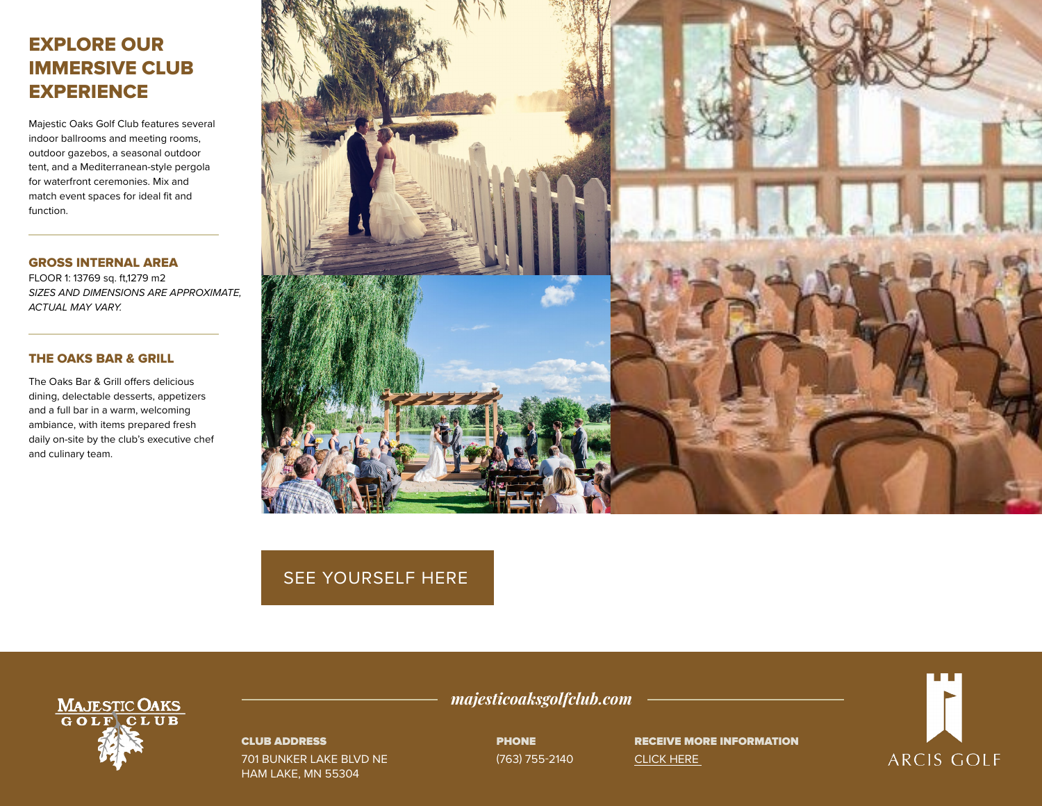# EXPLORE OUR IMMERSIVE CLUB **EXPERIENCE**

Majestic Oaks Golf Club features several indoor ballrooms and meeting rooms, outdoor gazebos, a seasonal outdoor tent, and a Mediterranean-style pergola for waterfront ceremonies. Mix and match event spaces for ideal fit and function.

GROSS INTERNAL AREA FLOOR 1: 13769 sq. ft,1279 m2 *SIZES AND DIMENSIONS ARE APPROXIMATE, ACTUAL MAY VARY.*

## THE OAKS BAR & GRILL

The Oaks Bar & Grill offers delicious dining, delectable desserts, appetizers and a full bar in a warm, welcoming ambiance, with items prepared fresh daily on-site by the club's executive chef and culinary team.



## [SEE YOURSELF HERE](https://visitingmedia.com/tt8/?ttid=majestic-oaks-golf-club#/3d-model)



#### CLUB ADDRESS

701 BUNKER LAKE BLVD NE HAM LAKE, MN 55304

*majesticoaksgolfclub.com*

PHONE (763) 755-2140

RECEIVE MORE INFORMATION [CLICK HERE](https://www.majesticoaksgolfclub.com/private-events-vm)